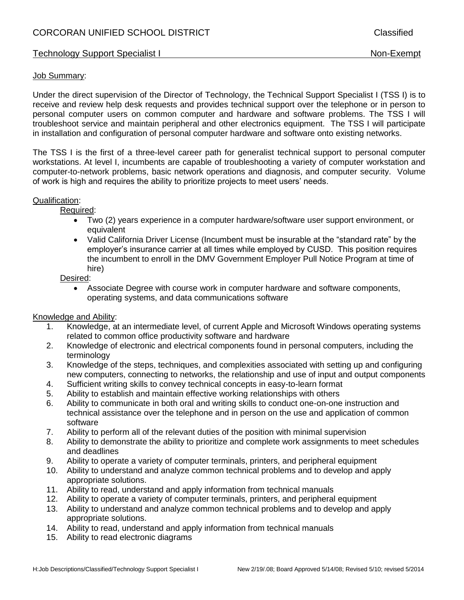# Technology Support Specialist I Non-Exempt

#### Job Summary:

Under the direct supervision of the Director of Technology, the Technical Support Specialist I (TSS I) is to receive and review help desk requests and provides technical support over the telephone or in person to personal computer users on common computer and hardware and software problems. The TSS I will troubleshoot service and maintain peripheral and other electronics equipment. The TSS I will participate in installation and configuration of personal computer hardware and software onto existing networks.

The TSS I is the first of a three-level career path for generalist technical support to personal computer workstations. At level I, incumbents are capable of troubleshooting a variety of computer workstation and computer-to-network problems, basic network operations and diagnosis, and computer security. Volume of work is high and requires the ability to prioritize projects to meet users' needs.

### Qualification:

Required:

- Two (2) years experience in a computer hardware/software user support environment, or equivalent
- Valid California Driver License (Incumbent must be insurable at the "standard rate" by the employer's insurance carrier at all times while employed by CUSD. This position requires the incumbent to enroll in the DMV Government Employer Pull Notice Program at time of hire)

Desired:

 Associate Degree with course work in computer hardware and software components, operating systems, and data communications software

### Knowledge and Ability:

- 1. Knowledge, at an intermediate level, of current Apple and Microsoft Windows operating systems related to common office productivity software and hardware
- 2. Knowledge of electronic and electrical components found in personal computers, including the terminology
- 3. Knowledge of the steps, techniques, and complexities associated with setting up and configuring new computers, connecting to networks, the relationship and use of input and output components
- 4. Sufficient writing skills to convey technical concepts in easy-to-learn format
- 5. Ability to establish and maintain effective working relationships with others
- 6. Ability to communicate in both oral and writing skills to conduct one-on-one instruction and technical assistance over the telephone and in person on the use and application of common software
- 7. Ability to perform all of the relevant duties of the position with minimal supervision
- 8. Ability to demonstrate the ability to prioritize and complete work assignments to meet schedules and deadlines
- 9. Ability to operate a variety of computer terminals, printers, and peripheral equipment
- 10. Ability to understand and analyze common technical problems and to develop and apply appropriate solutions.
- 11. Ability to read, understand and apply information from technical manuals
- 12. Ability to operate a variety of computer terminals, printers, and peripheral equipment
- 13. Ability to understand and analyze common technical problems and to develop and apply appropriate solutions.
- 14. Ability to read, understand and apply information from technical manuals
- 15. Ability to read electronic diagrams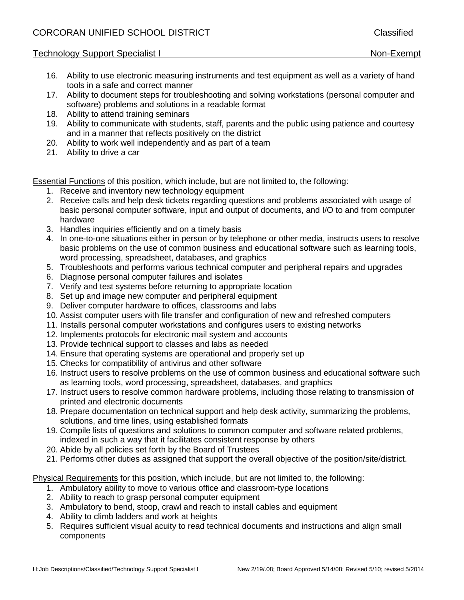# Technology Support Specialist I Non-Exempt

- 16. Ability to use electronic measuring instruments and test equipment as well as a variety of hand tools in a safe and correct manner
- 17. Ability to document steps for troubleshooting and solving workstations (personal computer and software) problems and solutions in a readable format
- 18. Ability to attend training seminars
- 19. Ability to communicate with students, staff, parents and the public using patience and courtesy and in a manner that reflects positively on the district
- 20. Ability to work well independently and as part of a team
- 21. Ability to drive a car

Essential Functions of this position, which include, but are not limited to, the following:

- 1. Receive and inventory new technology equipment
- 2. Receive calls and help desk tickets regarding questions and problems associated with usage of basic personal computer software, input and output of documents, and I/O to and from computer hardware
- 3. Handles inquiries efficiently and on a timely basis
- 4. In one-to-one situations either in person or by telephone or other media, instructs users to resolve basic problems on the use of common business and educational software such as learning tools, word processing, spreadsheet, databases, and graphics
- 5. Troubleshoots and performs various technical computer and peripheral repairs and upgrades
- 6. Diagnose personal computer failures and isolates
- 7. Verify and test systems before returning to appropriate location
- 8. Set up and image new computer and peripheral equipment
- 9. Deliver computer hardware to offices, classrooms and labs
- 10. Assist computer users with file transfer and configuration of new and refreshed computers
- 11. Installs personal computer workstations and configures users to existing networks
- 12. Implements protocols for electronic mail system and accounts
- 13. Provide technical support to classes and labs as needed
- 14. Ensure that operating systems are operational and properly set up
- 15. Checks for compatibility of antivirus and other software
- 16. Instruct users to resolve problems on the use of common business and educational software such as learning tools, word processing, spreadsheet, databases, and graphics
- 17. Instruct users to resolve common hardware problems, including those relating to transmission of printed and electronic documents
- 18. Prepare documentation on technical support and help desk activity, summarizing the problems, solutions, and time lines, using established formats
- 19. Compile lists of questions and solutions to common computer and software related problems, indexed in such a way that it facilitates consistent response by others
- 20. Abide by all policies set forth by the Board of Trustees
- 21. Performs other duties as assigned that support the overall objective of the position/site/district.

Physical Requirements for this position, which include, but are not limited to, the following:

- 1. Ambulatory ability to move to various office and classroom-type locations
- 2. Ability to reach to grasp personal computer equipment
- 3. Ambulatory to bend, stoop, crawl and reach to install cables and equipment
- 4. Ability to climb ladders and work at heights
- 5. Requires sufficient visual acuity to read technical documents and instructions and align small components